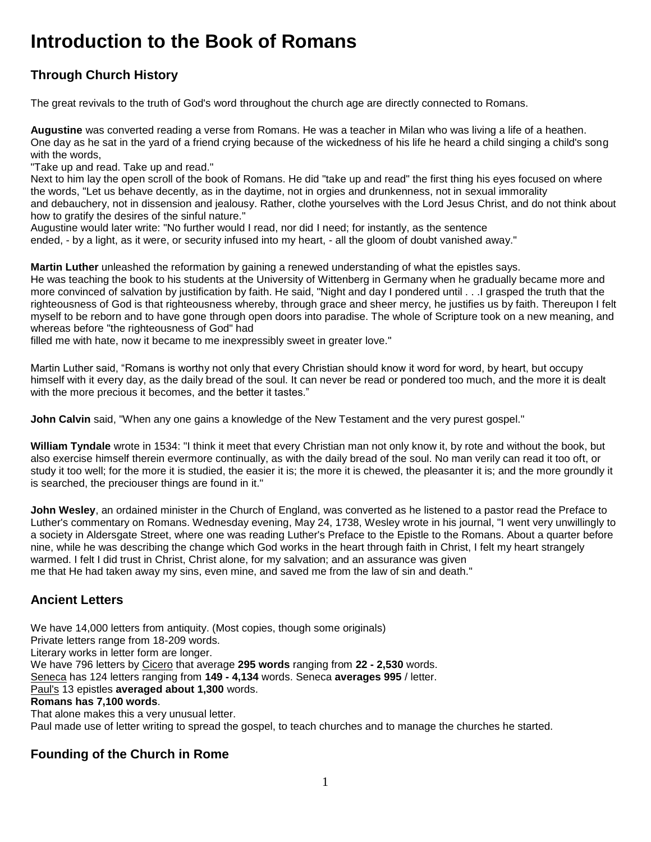# **Introduction to the Book of Romans**

## **Through Church History**

The great revivals to the truth of God's word throughout the church age are directly connected to Romans.

**Augustine** was converted reading a verse from Romans. He was a teacher in Milan who was living a life of a heathen. One day as he sat in the yard of a friend crying because of the wickedness of his life he heard a child singing a child's song with the words,

"Take up and read. Take up and read."

Next to him lay the open scroll of the book of Romans. He did "take up and read" the first thing his eyes focused on where the words, "Let us behave decently, as in the daytime, not in orgies and drunkenness, not in sexual immorality and debauchery, not in dissension and jealousy. Rather, clothe yourselves with the Lord Jesus Christ, and do not think about how to gratify the desires of the sinful nature."

Augustine would later write: "No further would I read, nor did I need; for instantly, as the sentence ended, - by a light, as it were, or security infused into my heart, - all the gloom of doubt vanished away."

**Martin Luther** unleashed the reformation by gaining a renewed understanding of what the epistles says. He was teaching the book to his students at the University of Wittenberg in Germany when he gradually became more and more convinced of salvation by justification by faith. He said, "Night and day I pondered until . . .I grasped the truth that the righteousness of God is that righteousness whereby, through grace and sheer mercy, he justifies us by faith. Thereupon I felt myself to be reborn and to have gone through open doors into paradise. The whole of Scripture took on a new meaning, and whereas before "the righteousness of God" had

filled me with hate, now it became to me inexpressibly sweet in greater love."

Martin Luther said, "Romans is worthy not only that every Christian should know it word for word, by heart, but occupy himself with it every day, as the daily bread of the soul. It can never be read or pondered too much, and the more it is dealt with the more precious it becomes, and the better it tastes."

**John Calvin** said, "When any one gains a knowledge of the New Testament and the very purest gospel."

**William Tyndale** wrote in 1534: "I think it meet that every Christian man not only know it, by rote and without the book, but also exercise himself therein evermore continually, as with the daily bread of the soul. No man verily can read it too oft, or study it too well; for the more it is studied, the easier it is; the more it is chewed, the pleasanter it is; and the more groundly it is searched, the preciouser things are found in it."

**John Wesley**, an ordained minister in the Church of England, was converted as he listened to a pastor read the Preface to Luther's commentary on Romans. Wednesday evening, May 24, 1738, Wesley wrote in his journal, "I went very unwillingly to a society in Aldersgate Street, where one was reading Luther's Preface to the Epistle to the Romans. About a quarter before nine, while he was describing the change which God works in the heart through faith in Christ, I felt my heart strangely warmed. I felt I did trust in Christ, Christ alone, for my salvation; and an assurance was given me that He had taken away my sins, even mine, and saved me from the law of sin and death."

#### **Ancient Letters**

We have 14,000 letters from antiquity. (Most copies, though some originals) Private letters range from 18-209 words. Literary works in letter form are longer. We have 796 letters by Cicero that average **295 words** ranging from **22 - 2,530** words. Seneca has 124 letters ranging from **149 - 4,134** words. Seneca **averages 995** / letter. Paul's 13 epistles **averaged about 1,300** words. **Romans has 7,100 words**. That alone makes this a very unusual letter. Paul made use of letter writing to spread the gospel, to teach churches and to manage the churches he started.

## **Founding of the Church in Rome**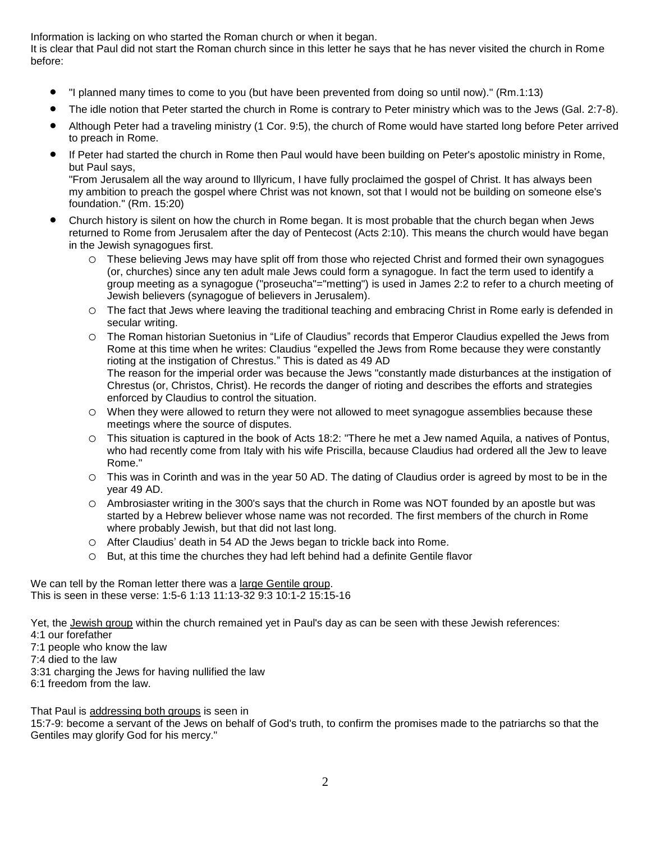Information is lacking on who started the Roman church or when it began.

It is clear that Paul did not start the Roman church since in this letter he says that he has never visited the church in Rome before:

- "I planned many times to come to you (but have been prevented from doing so until now)." (Rm.1:13)
- The idle notion that Peter started the church in Rome is contrary to Peter ministry which was to the Jews (Gal. 2:7-8).
- Although Peter had a traveling ministry (1 Cor. 9:5), the church of Rome would have started long before Peter arrived to preach in Rome.
- If Peter had started the church in Rome then Paul would have been building on Peter's apostolic ministry in Rome, but Paul says,

"From Jerusalem all the way around to Illyricum, I have fully proclaimed the gospel of Christ. It has always been my ambition to preach the gospel where Christ was not known, sot that I would not be building on someone else's foundation." (Rm. 15:20)

- Church history is silent on how the church in Rome began. It is most probable that the church began when Jews returned to Rome from Jerusalem after the day of Pentecost (Acts 2:10). This means the church would have began in the Jewish synagogues first.
	- o These believing Jews may have split off from those who rejected Christ and formed their own synagogues (or, churches) since any ten adult male Jews could form a synagogue. In fact the term used to identify a group meeting as a synagogue ("proseucha"="metting") is used in James 2:2 to refer to a church meeting of Jewish believers (synagogue of believers in Jerusalem).
	- o The fact that Jews where leaving the traditional teaching and embracing Christ in Rome early is defended in secular writing.

o The Roman historian Suetonius in "Life of Claudius" records that Emperor Claudius expelled the Jews from Rome at this time when he writes: Claudius "expelled the Jews from Rome because they were constantly rioting at the instigation of Chrestus." This is dated as 49 AD The reason for the imperial order was because the Jews "constantly made disturbances at the instigation of Chrestus (or, Christos, Christ). He records the danger of rioting and describes the efforts and strategies enforced by Claudius to control the situation.

- o When they were allowed to return they were not allowed to meet synagogue assemblies because these meetings where the source of disputes.
- o This situation is captured in the book of Acts 18:2: "There he met a Jew named Aquila, a natives of Pontus, who had recently come from Italy with his wife Priscilla, because Claudius had ordered all the Jew to leave Rome."
- o This was in Corinth and was in the year 50 AD. The dating of Claudius order is agreed by most to be in the year 49 AD.
- o Ambrosiaster writing in the 300's says that the church in Rome was NOT founded by an apostle but was started by a Hebrew believer whose name was not recorded. The first members of the church in Rome where probably Jewish, but that did not last long.
- o After Claudius' death in 54 AD the Jews began to trickle back into Rome.
- o But, at this time the churches they had left behind had a definite Gentile flavor

We can tell by the Roman letter there was a large Gentile group. This is seen in these verse: 1:5-6 1:13 11:13-32 9:3 10:1-2 15:15-16

Yet, the Jewish group within the church remained yet in Paul's day as can be seen with these Jewish references:

- 4:1 our forefather
- 7:1 people who know the law
- 7:4 died to the law
- 3:31 charging the Jews for having nullified the law
- 6:1 freedom from the law.

That Paul is addressing both groups is seen in

15:7-9: become a servant of the Jews on behalf of God's truth, to confirm the promises made to the patriarchs so that the Gentiles may glorify God for his mercy."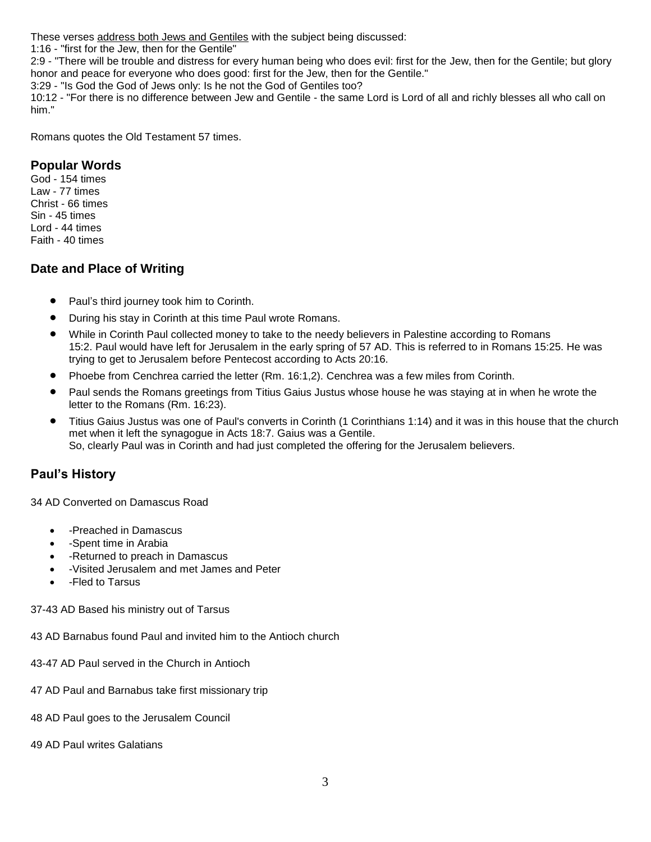These verses address both Jews and Gentiles with the subject being discussed:

1:16 - "first for the Jew, then for the Gentile"

2:9 - "There will be trouble and distress for every human being who does evil: first for the Jew, then for the Gentile; but glory honor and peace for everyone who does good: first for the Jew, then for the Gentile."

3:29 - "Is God the God of Jews only: Is he not the God of Gentiles too?

10:12 - "For there is no difference between Jew and Gentile - the same Lord is Lord of all and richly blesses all who call on him."

Romans quotes the Old Testament 57 times.

### **Popular Words**

God - 154 times Law - 77 times Christ - 66 times Sin - 45 times Lord - 44 times Faith - 40 times

#### **Date and Place of Writing**

- Paul's third journey took him to Corinth.
- During his stay in Corinth at this time Paul wrote Romans.
- While in Corinth Paul collected money to take to the needy believers in Palestine according to Romans 15:2. Paul would have left for Jerusalem in the early spring of 57 AD. This is referred to in Romans 15:25. He was trying to get to Jerusalem before Pentecost according to Acts 20:16.
- Phoebe from Cenchrea carried the letter (Rm. 16:1,2). Cenchrea was a few miles from Corinth.
- Paul sends the Romans greetings from Titius Gaius Justus whose house he was staying at in when he wrote the letter to the Romans (Rm. 16:23).
- Titius Gaius Justus was one of Paul's converts in Corinth (1 Corinthians 1:14) and it was in this house that the church met when it left the synagogue in Acts 18:7. Gaius was a Gentile. So, clearly Paul was in Corinth and had just completed the offering for the Jerusalem believers.

## **Paul's History**

34 AD Converted on Damascus Road

- -Preached in Damascus
- -Spent time in Arabia
- - Returned to preach in Damascus
- -Visited Jerusalem and met James and Peter
- -Fled to Tarsus

37-43 AD Based his ministry out of Tarsus

43 AD Barnabus found Paul and invited him to the Antioch church

- 43-47 AD Paul served in the Church in Antioch
- 47 AD Paul and Barnabus take first missionary trip
- 48 AD Paul goes to the Jerusalem Council
- 49 AD Paul writes Galatians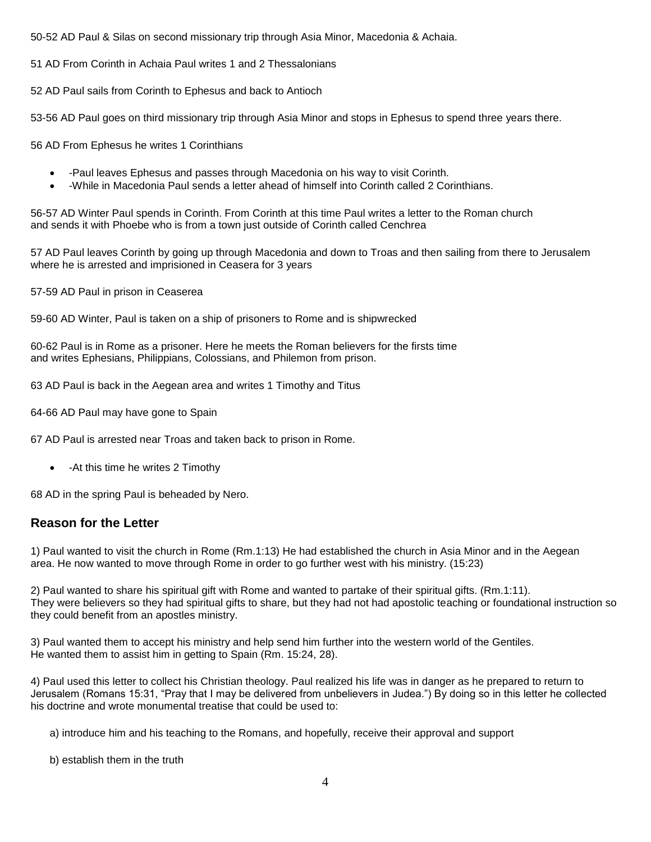50-52 AD Paul & Silas on second missionary trip through Asia Minor, Macedonia & Achaia.

51 AD From Corinth in Achaia Paul writes 1 and 2 Thessalonians

52 AD Paul sails from Corinth to Ephesus and back to Antioch

53-56 AD Paul goes on third missionary trip through Asia Minor and stops in Ephesus to spend three years there.

56 AD From Ephesus he writes 1 Corinthians

- -Paul leaves Ephesus and passes through Macedonia on his way to visit Corinth.
- -While in Macedonia Paul sends a letter ahead of himself into Corinth called 2 Corinthians.

56-57 AD Winter Paul spends in Corinth. From Corinth at this time Paul writes a letter to the Roman church and sends it with Phoebe who is from a town just outside of Corinth called Cenchrea

57 AD Paul leaves Corinth by going up through Macedonia and down to Troas and then sailing from there to Jerusalem where he is arrested and imprisioned in Ceasera for 3 years

57-59 AD Paul in prison in Ceaserea

59-60 AD Winter, Paul is taken on a ship of prisoners to Rome and is shipwrecked

60-62 Paul is in Rome as a prisoner. Here he meets the Roman believers for the firsts time and writes Ephesians, Philippians, Colossians, and Philemon from prison.

63 AD Paul is back in the Aegean area and writes 1 Timothy and Titus

64-66 AD Paul may have gone to Spain

67 AD Paul is arrested near Troas and taken back to prison in Rome.

• - At this time he writes 2 Timothy

68 AD in the spring Paul is beheaded by Nero.

#### **Reason for the Letter**

1) Paul wanted to visit the church in Rome (Rm.1:13) He had established the church in Asia Minor and in the Aegean area. He now wanted to move through Rome in order to go further west with his ministry. (15:23)

2) Paul wanted to share his spiritual gift with Rome and wanted to partake of their spiritual gifts. (Rm.1:11). They were believers so they had spiritual gifts to share, but they had not had apostolic teaching or foundational instruction so they could benefit from an apostles ministry.

3) Paul wanted them to accept his ministry and help send him further into the western world of the Gentiles. He wanted them to assist him in getting to Spain (Rm. 15:24, 28).

4) Paul used this letter to collect his Christian theology. Paul realized his life was in danger as he prepared to return to Jerusalem (Romans 15:31, "Pray that I may be delivered from unbelievers in Judea.") By doing so in this letter he collected his doctrine and wrote monumental treatise that could be used to:

a) introduce him and his teaching to the Romans, and hopefully, receive their approval and support

b) establish them in the truth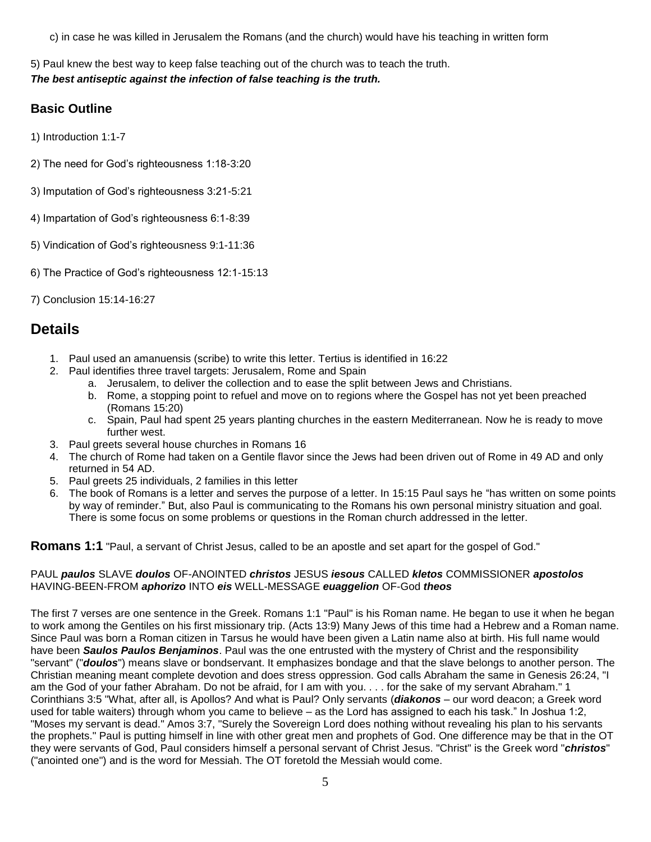c) in case he was killed in Jerusalem the Romans (and the church) would have his teaching in written form

5) Paul knew the best way to keep false teaching out of the church was to teach the truth. *The best antiseptic against the infection of false teaching is the truth.*

### **Basic Outline**

1) Introduction 1:1-7

- 2) The need for God's righteousness 1:18-3:20
- 3) Imputation of God's righteousness 3:21-5:21
- 4) Impartation of God's righteousness 6:1-8:39
- 5) Vindication of God's righteousness 9:1-11:36
- 6) The Practice of God's righteousness 12:1-15:13
- 7) Conclusion 15:14-16:27

# **Details**

- 1. Paul used an amanuensis (scribe) to write this letter. Tertius is identified in 16:22
- 2. Paul identifies three travel targets: Jerusalem, Rome and Spain
	- a. Jerusalem, to deliver the collection and to ease the split between Jews and Christians.
	- b. Rome, a stopping point to refuel and move on to regions where the Gospel has not yet been preached (Romans 15:20)
	- c. Spain, Paul had spent 25 years planting churches in the eastern Mediterranean. Now he is ready to move further west.
- 3. Paul greets several house churches in Romans 16
- 4. The church of Rome had taken on a Gentile flavor since the Jews had been driven out of Rome in 49 AD and only returned in 54 AD.
- 5. Paul greets 25 individuals, 2 families in this letter
- 6. The book of Romans is a letter and serves the purpose of a letter. In 15:15 Paul says he "has written on some points by way of reminder." But, also Paul is communicating to the Romans his own personal ministry situation and goal. There is some focus on some problems or questions in the Roman church addressed in the letter.

**Romans 1:1** "Paul, a servant of Christ Jesus, called to be an apostle and set apart for the gospel of God."

#### PAUL *paulos* SLAVE *doulos* OF-ANOINTED *christos* JESUS *iesous* CALLED *kletos* COMMISSIONER *apostolos* HAVING-BEEN-FROM *aphorizo* INTO *eis* WELL-MESSAGE *euaggelion* OF-God *theos*

The first 7 verses are one sentence in the Greek. Romans 1:1 "Paul" is his Roman name. He began to use it when he began to work among the Gentiles on his first missionary trip. (Acts 13:9) Many Jews of this time had a Hebrew and a Roman name. Since Paul was born a Roman citizen in Tarsus he would have been given a Latin name also at birth. His full name would have been *Saulos Paulos Benjaminos*. Paul was the one entrusted with the mystery of Christ and the responsibility "servant" ("*doulos*") means slave or bondservant. It emphasizes bondage and that the slave belongs to another person. The Christian meaning meant complete devotion and does stress oppression. God calls Abraham the same in Genesis 26:24, "I am the God of your father Abraham. Do not be afraid, for I am with you. . . . for the sake of my servant Abraham." 1 Corinthians 3:5 "What, after all, is Apollos? And what is Paul? Only servants (*diakonos* – our word deacon; a Greek word used for table waiters) through whom you came to believe – as the Lord has assigned to each his task." In Joshua 1:2, "Moses my servant is dead." Amos 3:7, "Surely the Sovereign Lord does nothing without revealing his plan to his servants the prophets." Paul is putting himself in line with other great men and prophets of God. One difference may be that in the OT they were servants of God, Paul considers himself a personal servant of Christ Jesus. "Christ" is the Greek word "*christos*" ("anointed one") and is the word for Messiah. The OT foretold the Messiah would come.